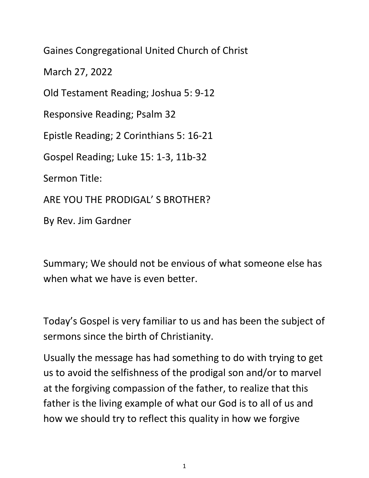Gaines Congregational United Church of Christ

March 27, 2022

Old Testament Reading; Joshua 5: 9-12

Responsive Reading; Psalm 32

Epistle Reading; 2 Corinthians 5: 16-21

Gospel Reading; Luke 15: 1-3, 11b-32

Sermon Title:

ARE YOU THE PRODIGAL' S BROTHER?

By Rev. Jim Gardner

Summary; We should not be envious of what someone else has when what we have is even better.

Today's Gospel is very familiar to us and has been the subject of sermons since the birth of Christianity.

Usually the message has had something to do with trying to get us to avoid the selfishness of the prodigal son and/or to marvel at the forgiving compassion of the father, to realize that this father is the living example of what our God is to all of us and how we should try to reflect this quality in how we forgive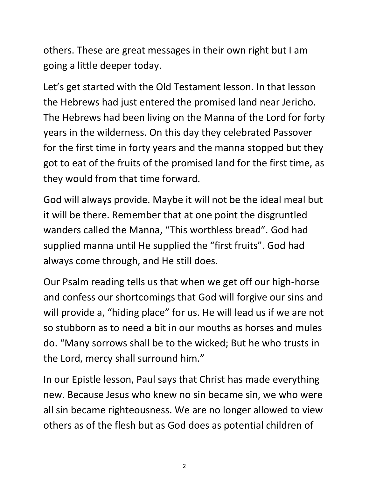others. These are great messages in their own right but I am going a little deeper today.

Let's get started with the Old Testament lesson. In that lesson the Hebrews had just entered the promised land near Jericho. The Hebrews had been living on the Manna of the Lord for forty years in the wilderness. On this day they celebrated Passover for the first time in forty years and the manna stopped but they got to eat of the fruits of the promised land for the first time, as they would from that time forward.

God will always provide. Maybe it will not be the ideal meal but it will be there. Remember that at one point the disgruntled wanders called the Manna, "This worthless bread". God had supplied manna until He supplied the "first fruits". God had always come through, and He still does.

Our Psalm reading tells us that when we get off our high-horse and confess our shortcomings that God will forgive our sins and will provide a, "hiding place" for us. He will lead us if we are not so stubborn as to need a bit in our mouths as horses and mules do. "Many sorrows shall be to the wicked; But he who trusts in the Lord, mercy shall surround him."

In our Epistle lesson, Paul says that Christ has made everything new. Because Jesus who knew no sin became sin, we who were all sin became righteousness. We are no longer allowed to view others as of the flesh but as God does as potential children of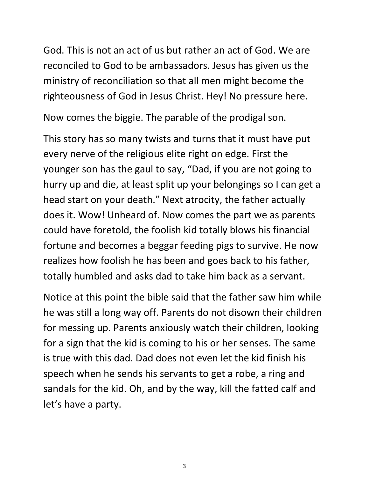God. This is not an act of us but rather an act of God. We are reconciled to God to be ambassadors. Jesus has given us the ministry of reconciliation so that all men might become the righteousness of God in Jesus Christ. Hey! No pressure here.

Now comes the biggie. The parable of the prodigal son.

This story has so many twists and turns that it must have put every nerve of the religious elite right on edge. First the younger son has the gaul to say, "Dad, if you are not going to hurry up and die, at least split up your belongings so I can get a head start on your death." Next atrocity, the father actually does it. Wow! Unheard of. Now comes the part we as parents could have foretold, the foolish kid totally blows his financial fortune and becomes a beggar feeding pigs to survive. He now realizes how foolish he has been and goes back to his father, totally humbled and asks dad to take him back as a servant.

Notice at this point the bible said that the father saw him while he was still a long way off. Parents do not disown their children for messing up. Parents anxiously watch their children, looking for a sign that the kid is coming to his or her senses. The same is true with this dad. Dad does not even let the kid finish his speech when he sends his servants to get a robe, a ring and sandals for the kid. Oh, and by the way, kill the fatted calf and let's have a party.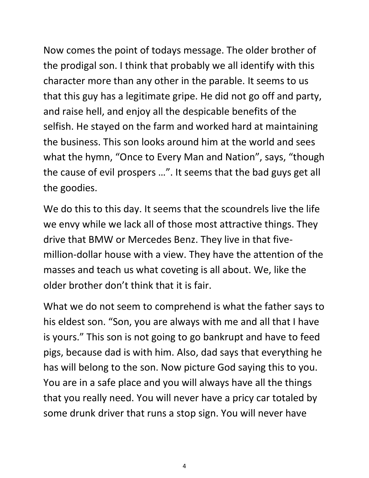Now comes the point of todays message. The older brother of the prodigal son. I think that probably we all identify with this character more than any other in the parable. It seems to us that this guy has a legitimate gripe. He did not go off and party, and raise hell, and enjoy all the despicable benefits of the selfish. He stayed on the farm and worked hard at maintaining the business. This son looks around him at the world and sees what the hymn, "Once to Every Man and Nation", says, "though the cause of evil prospers …". It seems that the bad guys get all the goodies.

We do this to this day. It seems that the scoundrels live the life we envy while we lack all of those most attractive things. They drive that BMW or Mercedes Benz. They live in that fivemillion-dollar house with a view. They have the attention of the masses and teach us what coveting is all about. We, like the older brother don't think that it is fair.

What we do not seem to comprehend is what the father says to his eldest son. "Son, you are always with me and all that I have is yours." This son is not going to go bankrupt and have to feed pigs, because dad is with him. Also, dad says that everything he has will belong to the son. Now picture God saying this to you. You are in a safe place and you will always have all the things that you really need. You will never have a pricy car totaled by some drunk driver that runs a stop sign. You will never have